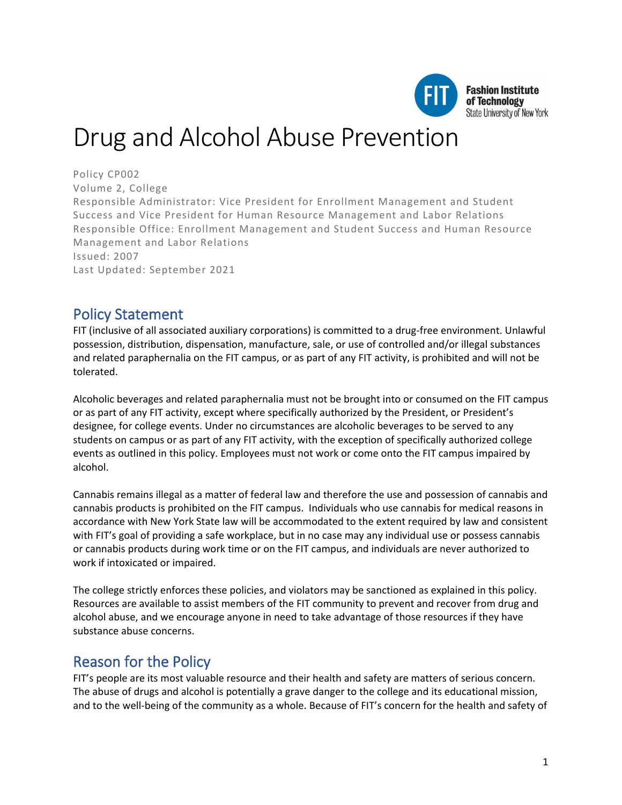

# Drug and Alcohol Abuse Prevention

Policy CP002 Volume 2, College Responsible Administrator: Vice President for Enrollment Management and Student Success and Vice President for Human Resource Management and Labor Relations Responsible Office: Enrollment Management and Student Success and Human Resource Management and Labor Relations Issued: 2007 Last Updated: September 2021

### Policy Statement

FIT (inclusive of all associated auxiliary corporations) is committed to a drug-free environment. Unlawful possession, distribution, dispensation, manufacture, sale, or use of controlled and/or illegal substances and related paraphernalia on the FIT campus, or as part of any FIT activity, is prohibited and will not be tolerated.

Alcoholic beverages and related paraphernalia must not be brought into or consumed on the FIT campus or as part of any FIT activity, except where specifically authorized by the President, or President's designee, for college events. Under no circumstances are alcoholic beverages to be served to any students on campus or as part of any FIT activity, with the exception of specifically authorized college events as outlined in this policy. Employees must not work or come onto the FIT campus impaired by alcohol.

Cannabis remains illegal as a matter of federal law and therefore the use and possession of cannabis and cannabis products is prohibited on the FIT campus. Individuals who use cannabis for medical reasons in accordance with New York State law will be accommodated to the extent required by law and consistent with FIT's goal of providing a safe workplace, but in no case may any individual use or possess cannabis or cannabis products during work time or on the FIT campus, and individuals are never authorized to work if intoxicated or impaired.

The college strictly enforces these policies, and violators may be sanctioned as explained in this policy. Resources are available to assist members of the FIT community to prevent and recover from drug and alcohol abuse, and we encourage anyone in need to take advantage of those resources if they have substance abuse concerns.

### Reason for the Policy

FIT's people are its most valuable resource and their health and safety are matters of serious concern. The abuse of drugs and alcohol is potentially a grave danger to the college and its educational mission, and to the well-being of the community as a whole. Because of FIT's concern for the health and safety of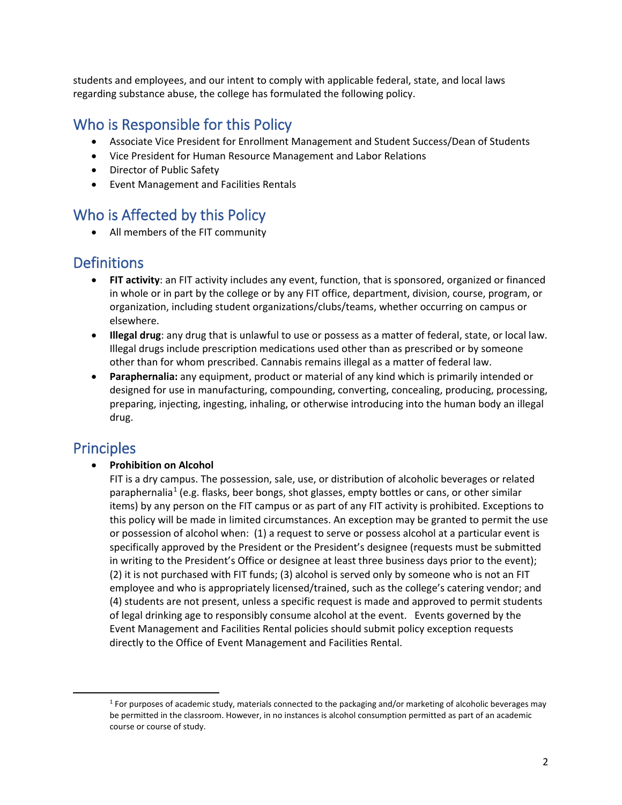students and employees, and our intent to comply with applicable federal, state, and local laws regarding substance abuse, the college has formulated the following policy.

# Who is Responsible for this Policy

- Associate Vice President for Enrollment Management and Student Success/Dean of Students
- Vice President for Human Resource Management and Labor Relations
- Director of Public Safety
- Event Management and Facilities Rentals

# Who is Affected by this Policy

• All members of the FIT community

# **Definitions**

- **FIT activity**: an FIT activity includes any event, function, that is sponsored, organized or financed in whole or in part by the college or by any FIT office, department, division, course, program, or organization, including student organizations/clubs/teams, whether occurring on campus or elsewhere.
- **Illegal drug**: any drug that is unlawful to use or possess as a matter of federal, state, or local law. Illegal drugs include prescription medications used other than as prescribed or by someone other than for whom prescribed. Cannabis remains illegal as a matter of federal law.
- **Paraphernalia:** any equipment, product or material of any kind which is primarily intended or designed for use in manufacturing, compounding, converting, concealing, producing, processing, preparing, injecting, ingesting, inhaling, or otherwise introducing into the human body an illegal drug.

### Principles

• **Prohibition on Alcohol**

FIT is a dry campus. The possession, sale, use, or distribution of alcoholic beverages or related paraphernalia<sup>[1](#page-1-0)</sup> (e.g. flasks, beer bongs, shot glasses, empty bottles or cans, or other similar items) by any person on the FIT campus or as part of any FIT activity is prohibited. Exceptions to this policy will be made in limited circumstances. An exception may be granted to permit the use or possession of alcohol when: (1) a request to serve or possess alcohol at a particular event is specifically approved by the President or the President's designee (requests must be submitted in writing to the President's Office or designee at least three business days prior to the event); (2) it is not purchased with FIT funds; (3) alcohol is served only by someone who is not an FIT employee and who is appropriately licensed/trained, such as the college's catering vendor; and (4) students are not present, unless a specific request is made and approved to permit students of legal drinking age to responsibly consume alcohol at the event. Events governed by the Event Management and Facilities Rental policies should submit policy exception requests directly to the Office of Event Management and Facilities Rental.

<span id="page-1-0"></span><sup>1</sup> For purposes of academic study, materials connected to the packaging and/or marketing of alcoholic beverages may be permitted in the classroom. However, in no instances is alcohol consumption permitted as part of an academic course or course of study.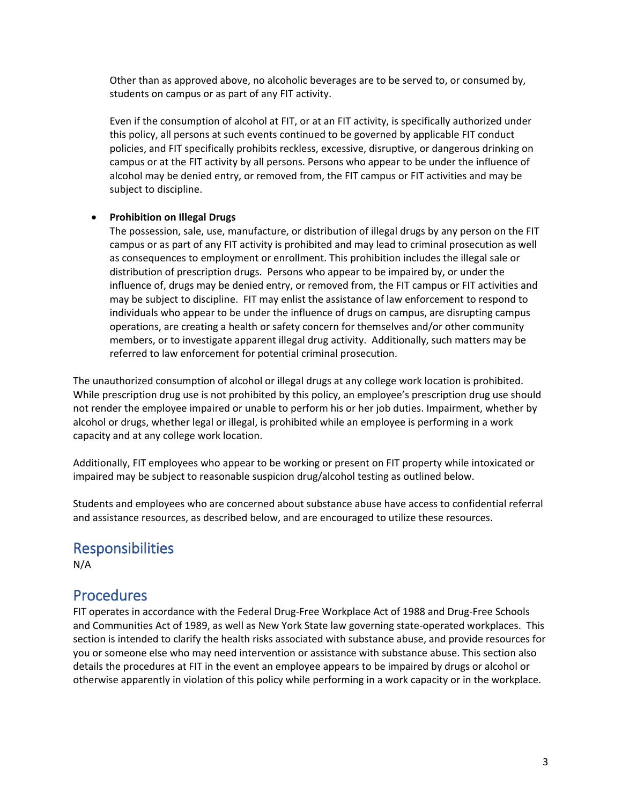Other than as approved above, no alcoholic beverages are to be served to, or consumed by, students on campus or as part of any FIT activity.

Even if the consumption of alcohol at FIT, or at an FIT activity, is specifically authorized under this policy, all persons at such events continued to be governed by applicable FIT conduct policies, and FIT specifically prohibits reckless, excessive, disruptive, or dangerous drinking on campus or at the FIT activity by all persons. Persons who appear to be under the influence of alcohol may be denied entry, or removed from, the FIT campus or FIT activities and may be subject to discipline.

#### • **Prohibition on Illegal Drugs**

The possession, sale, use, manufacture, or distribution of illegal drugs by any person on the FIT campus or as part of any FIT activity is prohibited and may lead to criminal prosecution as well as consequences to employment or enrollment. This prohibition includes the illegal sale or distribution of prescription drugs. Persons who appear to be impaired by, or under the influence of, drugs may be denied entry, or removed from, the FIT campus or FIT activities and may be subject to discipline. FIT may enlist the assistance of law enforcement to respond to individuals who appear to be under the influence of drugs on campus, are disrupting campus operations, are creating a health or safety concern for themselves and/or other community members, or to investigate apparent illegal drug activity. Additionally, such matters may be referred to law enforcement for potential criminal prosecution.

The unauthorized consumption of alcohol or illegal drugs at any college work location is prohibited. While prescription drug use is not prohibited by this policy, an employee's prescription drug use should not render the employee impaired or unable to perform his or her job duties. Impairment, whether by alcohol or drugs, whether legal or illegal, is prohibited while an employee is performing in a work capacity and at any college work location.

Additionally, FIT employees who appear to be working or present on FIT property while intoxicated or impaired may be subject to reasonable suspicion drug/alcohol testing as outlined below.

Students and employees who are concerned about substance abuse have access to confidential referral and assistance resources, as described below, and are encouraged to utilize these resources.

### **Responsibilities**

N/A

### **Procedures**

FIT operates in accordance with the Federal Drug-Free Workplace Act of 1988 and Drug-Free Schools and Communities Act of 1989, as well as New York State law governing state-operated workplaces. This section is intended to clarify the health risks associated with substance abuse, and provide resources for you or someone else who may need intervention or assistance with substance abuse. This section also details the procedures at FIT in the event an employee appears to be impaired by drugs or alcohol or otherwise apparently in violation of this policy while performing in a work capacity or in the workplace.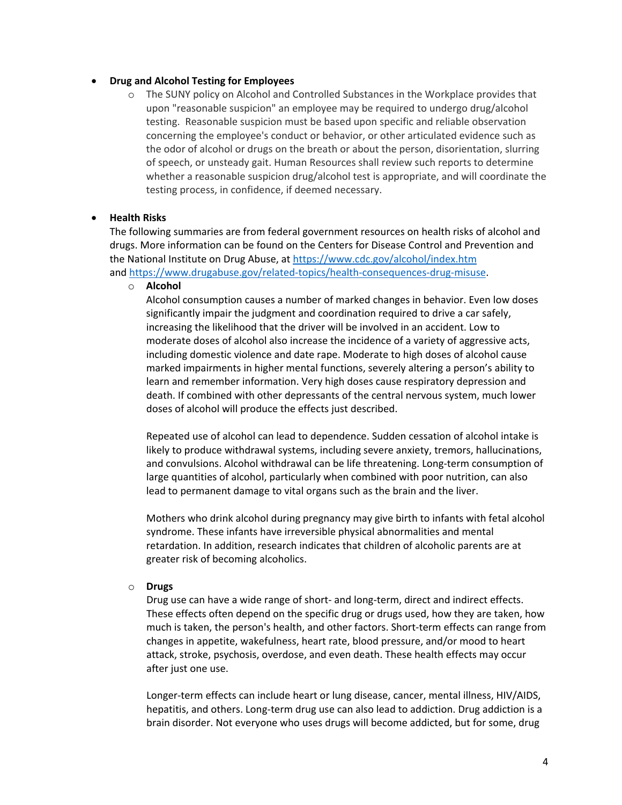#### • **Drug and Alcohol Testing for Employees**

o The SUNY policy on Alcohol and Controlled Substances in the Workplace provides that upon "reasonable suspicion" an employee may be required to undergo drug/alcohol testing. Reasonable suspicion must be based upon specific and reliable observation concerning the employee's conduct or behavior, or other articulated evidence such as the odor of alcohol or drugs on the breath or about the person, disorientation, slurring of speech, or unsteady gait. Human Resources shall review such reports to determine whether a reasonable suspicion drug/alcohol test is appropriate, and will coordinate the testing process, in confidence, if deemed necessary.

#### • **Health Risks**

The following summaries are from federal government resources on health risks of alcohol and drugs. More information can be found on the Centers for Disease Control and Prevention and the National Institute on Drug Abuse, a[t https://www.cdc.gov/alcohol/index.htm](https://www.cdc.gov/alcohol/index.htm) and [https://www.drugabuse.gov/related-topics/health-consequences-drug-misuse.](https://www.drugabuse.gov/related-topics/health-consequences-drug-misuse)

o **Alcohol**

Alcohol consumption causes a number of marked changes in behavior. Even low doses significantly impair the judgment and coordination required to drive a car safely, increasing the likelihood that the driver will be involved in an accident. Low to moderate doses of alcohol also increase the incidence of a variety of aggressive acts, including domestic violence and date rape. Moderate to high doses of alcohol cause marked impairments in higher mental functions, severely altering a person's ability to learn and remember information. Very high doses cause respiratory depression and death. If combined with other depressants of the central nervous system, much lower doses of alcohol will produce the effects just described.

Repeated use of alcohol can lead to dependence. Sudden cessation of alcohol intake is likely to produce withdrawal systems, including severe anxiety, tremors, hallucinations, and convulsions. Alcohol withdrawal can be life threatening. Long-term consumption of large quantities of alcohol, particularly when combined with poor nutrition, can also lead to permanent damage to vital organs such as the brain and the liver.

Mothers who drink alcohol during pregnancy may give birth to infants with fetal alcohol syndrome. These infants have irreversible physical abnormalities and mental retardation. In addition, research indicates that children of alcoholic parents are at greater risk of becoming alcoholics.

#### o **Drugs**

Drug use can have a wide range of short- and long-term, direct and indirect effects. These effects often depend on the specific drug or drugs used, how they are taken, how much is taken, the person's health, and other factors. Short-term effects can range from changes in appetite, wakefulness, heart rate, blood pressure, and/or mood to heart attack, stroke, psychosis, overdose, and even death. These health effects may occur after just one use.

Longer-term effects can include heart or lung disease, cancer, mental illness, HIV/AIDS, hepatitis, and others. Long-term drug use can also lead to addiction. Drug addiction is a brain disorder. Not everyone who uses drugs will become addicted, but for some, drug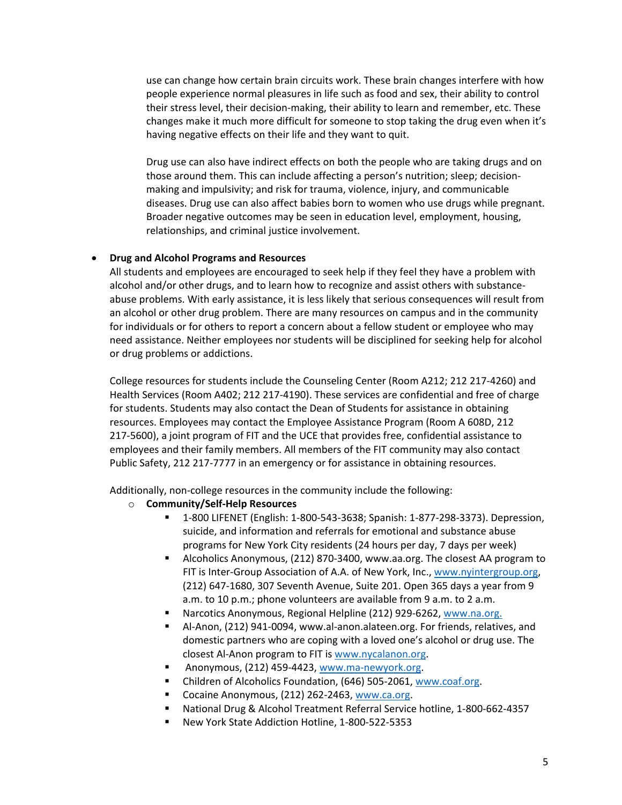use can change how certain brain circuits work. These brain changes interfere with how people experience normal pleasures in life such as food and sex, their ability to control their stress level, their decision-making, their ability to learn and remember, etc. These changes make it much more difficult for someone to stop taking the drug even when it's having negative effects on their life and they want to quit.

Drug use can also have indirect effects on both the people who are taking drugs and on those around them. This can include affecting a person's nutrition; sleep; decisionmaking and impulsivity; and risk for trauma, violence, injury, and communicable diseases. Drug use can also affect babies born to women who use drugs while pregnant. Broader negative outcomes may be seen in education level, employment, housing, relationships, and criminal justice involvement.

#### • **Drug and Alcohol Programs and Resources**

All students and employees are encouraged to seek help if they feel they have a problem with alcohol and/or other drugs, and to learn how to recognize and assist others with substanceabuse problems. With early assistance, it is less likely that serious consequences will result from an alcohol or other drug problem. There are many resources on campus and in the community for individuals or for others to report a concern about a fellow student or employee who may need assistance. Neither employees nor students will be disciplined for seeking help for alcohol or drug problems or addictions.

College resources for students include the Counseling Center (Room A212; 212 217-4260) and Health Services (Room A402; 212 217-4190). These services are confidential and free of charge for students. Students may also contact the Dean of Students for assistance in obtaining resources. Employees may contact the Employee Assistance Program (Room A 608D, 212 217-5600), a joint program of FIT and the UCE that provides free, confidential assistance to employees and their family members. All members of the FIT community may also contact Public Safety, 212 217-7777 in an emergency or for assistance in obtaining resources.

Additionally, non-college resources in the community include the following:

- o **Community/Self-Help Resources**
	- 1-800 LIFENET (English: 1-800-543-3638; Spanish: 1-877-298-3373). Depression, suicide, and information and referrals for emotional and substance abuse programs for New York City residents (24 hours per day, 7 days per week)
	- Alcoholics Anonymous, (212) 870-3400, www.aa.org. The closest AA program to FIT is Inter-Group Association of A.A. of New York, Inc.[, www.nyintergroup.org,](http://www.nyintergroup.org/) (212) 647-1680, 307 Seventh Avenue, Suite 201. Open 365 days a year from 9 a.m. to 10 p.m.; phone volunteers are available from 9 a.m. to 2 a.m.
	- Narcotics Anonymous, Regional Helpline (212) 929-6262, [www.na.org.](http://www.na.org/)
	- Al-Anon, (212) 941-0094, www.al-anon.alateen.org. For friends, relatives, and domestic partners who are coping with a loved one's alcohol or drug use. The closest Al-Anon program to FIT i[s www.nycalanon.org.](http://www.nycalanon.org/)
	- **Anonymous, (212) 459-4423[, www.ma-newyork.org.](http://www.ma-newyork.org/)**
	- Children of Alcoholics Foundation, (646) 505-2061, [www.coaf.org.](http://www.coaf.org/)
	- Cocaine Anonymous, (212) 262-2463, [www.ca.org.](http://www.ca.org/)
	- National Drug & Alcohol Treatment Referral Service hotline, 1-800-662-4357
	- New York State Addiction Hotline, 1-800-522-5353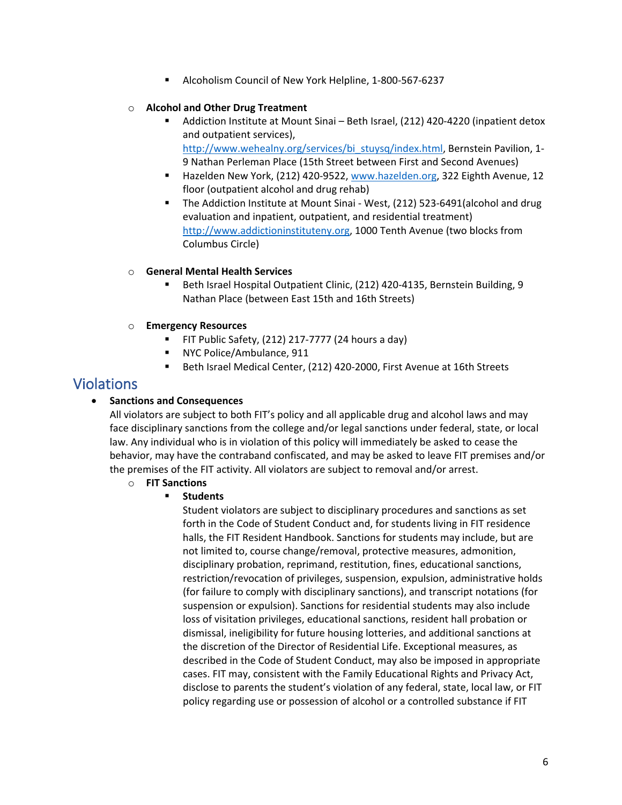Alcoholism Council of New York Helpline, 1-800-567-6237

#### o **Alcohol and Other Drug Treatment**

- Addiction Institute at Mount Sinai Beth Israel, (212) 420-4220 (inpatient detox and outpatient services), [http://www.wehealny.org/services/bi\\_stuysq/index.html,](http://www.wehealny.org/services/bi_stuysq/index.html) Bernstein Pavilion, 1-9 Nathan Perleman Place (15th Street between First and Second Avenues)
- Hazelden New York, (212) 420-9522[, www.hazelden.org,](http://www.hazelden.org/) 322 Eighth Avenue, 12 floor (outpatient alcohol and drug rehab)
- The Addiction Institute at Mount Sinai West, (212) 523-6491(alcohol and drug evaluation and inpatient, outpatient, and residential treatment) [http://www.addictioninstituteny.org,](http://www.addictioninstituteny.org/) 1000 Tenth Avenue (two blocks from Columbus Circle)

#### o **General Mental Health Services**

- Beth Israel Hospital Outpatient Clinic, (212) 420-4135, Bernstein Building, 9 Nathan Place (between East 15th and 16th Streets)
- o **Emergency Resources**
	- FIT Public Safety, (212) 217-7777 (24 hours a day)
	- **NYC Police/Ambulance, 911**
	- Beth Israel Medical Center, (212) 420-2000, First Avenue at 16th Streets

### Violations

#### • **Sanctions and Consequences**

All violators are subject to both FIT's policy and all applicable drug and alcohol laws and may face disciplinary sanctions from the college and/or legal sanctions under federal, state, or local law. Any individual who is in violation of this policy will immediately be asked to cease the behavior, may have the contraband confiscated, and may be asked to leave FIT premises and/or the premises of the FIT activity. All violators are subject to removal and/or arrest.

#### o **FIT Sanctions**

#### **Students**

Student violators are subject to disciplinary procedures and sanctions as set forth in the Code of Student Conduct and, for students living in FIT residence halls, the FIT Resident Handbook. Sanctions for students may include, but are not limited to, course change/removal, protective measures, admonition, disciplinary probation, reprimand, restitution, fines, educational sanctions, restriction/revocation of privileges, suspension, expulsion, administrative holds (for failure to comply with disciplinary sanctions), and transcript notations (for suspension or expulsion). Sanctions for residential students may also include loss of visitation privileges, educational sanctions, resident hall probation or dismissal, ineligibility for future housing lotteries, and additional sanctions at the discretion of the Director of Residential Life. Exceptional measures, as described in the Code of Student Conduct, may also be imposed in appropriate cases. FIT may, consistent with the Family Educational Rights and Privacy Act, disclose to parents the student's violation of any federal, state, local law, or FIT policy regarding use or possession of alcohol or a controlled substance if FIT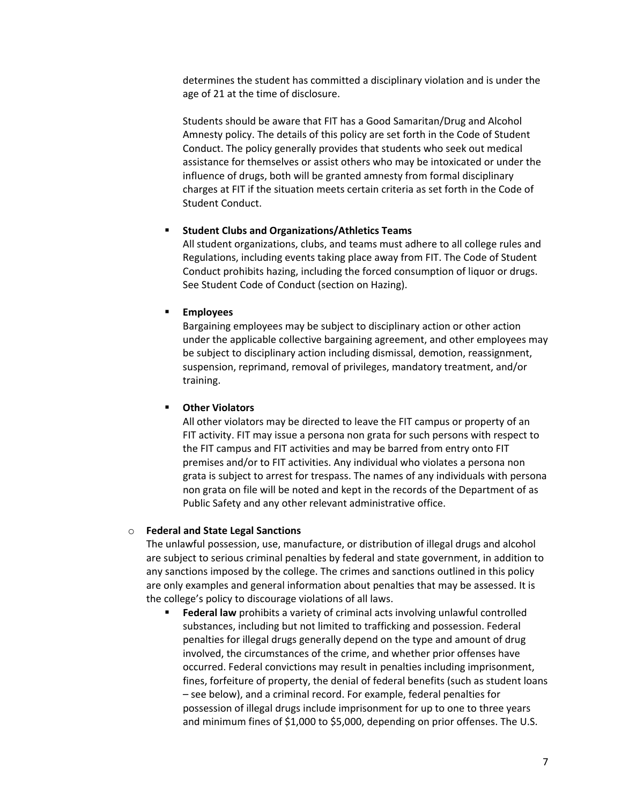determines the student has committed a disciplinary violation and is under the age of 21 at the time of disclosure.

Students should be aware that FIT has a Good Samaritan/Drug and Alcohol Amnesty policy. The details of this policy are set forth in the Code of Student Conduct. The policy generally provides that students who seek out medical assistance for themselves or assist others who may be intoxicated or under the influence of drugs, both will be granted amnesty from formal disciplinary charges at FIT if the situation meets certain criteria as set forth in the Code of Student Conduct.

#### **Student Clubs and Organizations/Athletics Teams**

All student organizations, clubs, and teams must adhere to all college rules and Regulations, including events taking place away from FIT. The Code of Student Conduct prohibits hazing, including the forced consumption of liquor or drugs. See Student Code of Conduct (section on Hazing).

#### **Employees**

Bargaining employees may be subject to disciplinary action or other action under the applicable collective bargaining agreement, and other employees may be subject to disciplinary action including dismissal, demotion, reassignment, suspension, reprimand, removal of privileges, mandatory treatment, and/or training.

#### **Other Violators**

All other violators may be directed to leave the FIT campus or property of an FIT activity. FIT may issue a persona non grata for such persons with respect to the FIT campus and FIT activities and may be barred from entry onto FIT premises and/or to FIT activities. Any individual who violates a persona non grata is subject to arrest for trespass. The names of any individuals with persona non grata on file will be noted and kept in the records of the Department of as Public Safety and any other relevant administrative office.

#### o **Federal and State Legal Sanctions**

The unlawful possession, use, manufacture, or distribution of illegal drugs and alcohol are subject to serious criminal penalties by federal and state government, in addition to any sanctions imposed by the college. The crimes and sanctions outlined in this policy are only examples and general information about penalties that may be assessed. It is the college's policy to discourage violations of all laws.

 **Federal law** prohibits a variety of criminal acts involving unlawful controlled substances, including but not limited to trafficking and possession. Federal penalties for illegal drugs generally depend on the type and amount of drug involved, the circumstances of the crime, and whether prior offenses have occurred. Federal convictions may result in penalties including imprisonment, fines, forfeiture of property, the denial of federal benefits (such as student loans – see below), and a criminal record. For example, federal penalties for possession of illegal drugs include imprisonment for up to one to three years and minimum fines of \$1,000 to \$5,000, depending on prior offenses. The U.S.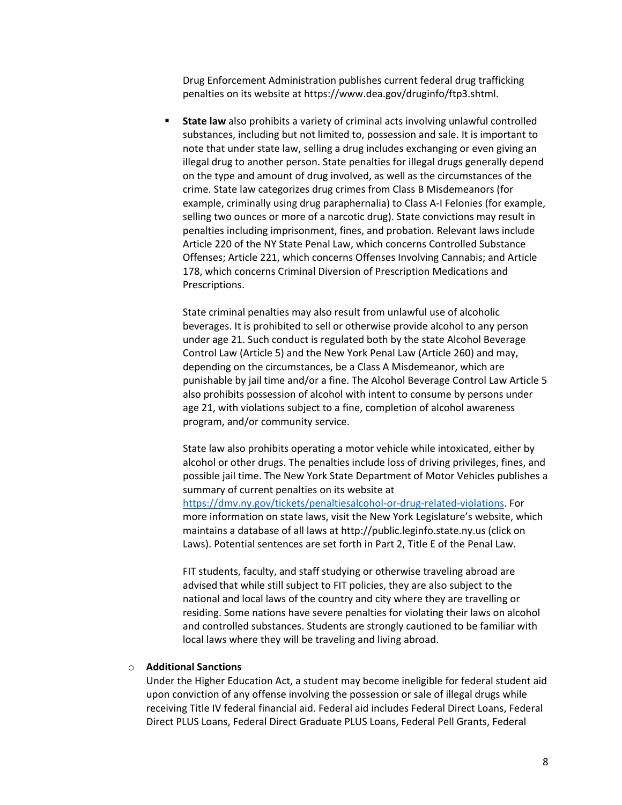Drug Enforcement Administration publishes current federal drug trafficking penalties on its website at https://www.dea.gov/druginfo/ftp3.shtml.

 **State law** also prohibits a variety of criminal acts involving unlawful controlled substances, including but not limited to, possession and sale. It is important to note that under state law, selling a drug includes exchanging or even giving an illegal drug to another person. State penalties for illegal drugs generally depend on the type and amount of drug involved, as well as the circumstances of the crime. State law categorizes drug crimes from Class B Misdemeanors (for example, criminally using drug paraphernalia) to Class A-I Felonies (for example, selling two ounces or more of a narcotic drug). State convictions may result in penalties including imprisonment, fines, and probation. Relevant laws include Article 220 of the NY State Penal Law, which concerns Controlled Substance Offenses; Article 221, which concerns Offenses Involving Cannabis; and Article 178, which concerns Criminal Diversion of Prescription Medications and Prescriptions.

State criminal penalties may also result from unlawful use of alcoholic beverages. It is prohibited to sell or otherwise provide alcohol to any person under age 21. Such conduct is regulated both by the state Alcohol Beverage Control Law (Article 5) and the New York Penal Law (Article 260) and may, depending on the circumstances, be a Class A Misdemeanor, which are punishable by jail time and/or a fine. The Alcohol Beverage Control Law Article 5 also prohibits possession of alcohol with intent to consume by persons under age 21, with violations subject to a fine, completion of alcohol awareness program, and/or community service.

State law also prohibits operating a motor vehicle while intoxicated, either by alcohol or other drugs. The penalties include loss of driving privileges, fines, and possible jail time. The New York State Department of Motor Vehicles publishes a summary of current penalties on its website at [https://dmv.ny.gov/tickets/penaltiesalcohol-or-drug-related-violations.](https://dmv.ny.gov/tickets/penaltiesalcohol-or-drug-related-violations) For more information on state laws, visit the New York Legislature's website, which maintains a database of all laws at http://public.leginfo.state.ny.us (click on Laws). Potential sentences are set forth in Part 2, Title E of the Penal Law.

FIT students, faculty, and staff studying or otherwise traveling abroad are advised that while still subject to FIT policies, they are also subject to the national and local laws of the country and city where they are travelling or residing. Some nations have severe penalties for violating their laws on alcohol and controlled substances. Students are strongly cautioned to be familiar with local laws where they will be traveling and living abroad.

#### o **Additional Sanctions**

Under the Higher Education Act, a student may become ineligible for federal student aid upon conviction of any offense involving the possession or sale of illegal drugs while receiving Title IV federal financial aid. Federal aid includes Federal Direct Loans, Federal Direct PLUS Loans, Federal Direct Graduate PLUS Loans, Federal Pell Grants, Federal